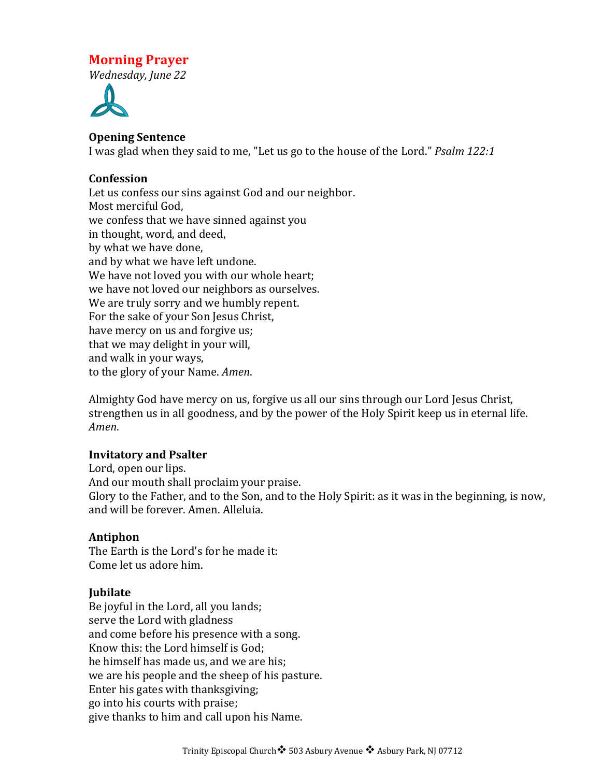# **Morning Prayer**

*Wednesday, June 22*



## **Opening Sentence**

I was glad when they said to me, "Let us go to the house of the Lord." *Psalm* 122:1

## **Confession**

Let us confess our sins against God and our neighbor. Most merciful God. we confess that we have sinned against you in thought, word, and deed, by what we have done, and by what we have left undone. We have not loved you with our whole heart; we have not loved our neighbors as ourselves. We are truly sorry and we humbly repent. For the sake of your Son Jesus Christ, have mercy on us and forgive us; that we may delight in your will, and walk in your ways, to the glory of your Name. *Amen*.

Almighty God have mercy on us, forgive us all our sins through our Lord Jesus Christ, strengthen us in all goodness, and by the power of the Holy Spirit keep us in eternal life. *Amen*.

### **Invitatory and Psalter**

Lord, open our lips. And our mouth shall proclaim your praise. Glory to the Father, and to the Son, and to the Holy Spirit: as it was in the beginning, is now, and will be forever. Amen. Alleluia.

## **Antiphon**

The Earth is the Lord's for he made it: Come let us adore him.

## **Jubilate**

Be joyful in the Lord, all you lands; serve the Lord with gladness and come before his presence with a song. Know this: the Lord himself is God; he himself has made us, and we are his; we are his people and the sheep of his pasture. Enter his gates with thanksgiving; go into his courts with praise; give thanks to him and call upon his Name.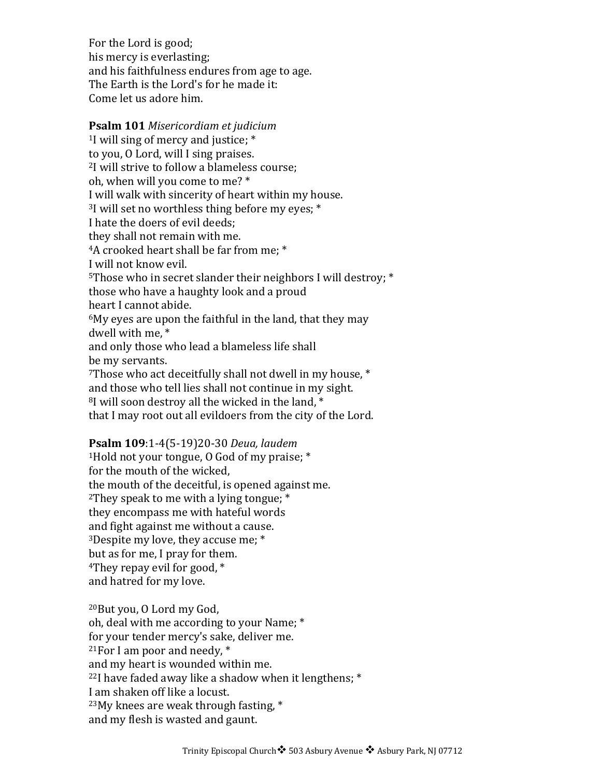For the Lord is good; his mercy is everlasting; and his faithfulness endures from age to age. The Earth is the Lord's for he made it: Come let us adore him.

## **Psalm 101** *Misericordiam et judicium* <sup>1</sup>I will sing of mercy and justice;  $*$ to you, O Lord, will I sing praises. <sup>2</sup>I will strive to follow a blameless course; oh, when will you come to me? \* I will walk with sincerity of heart within my house.  $3$ I will set no worthless thing before my eyes;  $*$ I hate the doers of evil deeds: they shall not remain with me. <sup>4</sup>A crooked heart shall be far from me; \* I will not know evil. <sup>5</sup>Those who in secret slander their neighbors I will destroy;  $*$ those who have a haughty look and a proud heart I cannot abide.  $6My$  eyes are upon the faithful in the land, that they may dwell with me.<sup>\*</sup> and only those who lead a blameless life shall be my servants.  $7$ Those who act deceitfully shall not dwell in my house,  $*$ and those who tell lies shall not continue in my sight.  $8$ I will soon destroy all the wicked in the land,  $*$ that I may root out all evildoers from the city of the Lord.

### **Psalm 109**:1-4(5-19)20-30 *Deua, laudem*

<sup>1</sup>Hold not your tongue, 0 God of my praise;  $*$ for the mouth of the wicked. the mouth of the deceitful, is opened against me. <sup>2</sup>They speak to me with a lying tongue;  $*$ they encompass me with hateful words and fight against me without a cause. <sup>3</sup>Despite my love, they accuse me;  $*$ but as for me, I pray for them. <sup>4</sup>They repay evil for good,  $*$ and hatred for my love.

<sup>20</sup>But you, O Lord my God, oh, deal with me according to your Name: \* for your tender mercy's sake, deliver me. <sup>21</sup>For I am poor and needy,  $*$ and my heart is wounded within me.  $22$ I have faded away like a shadow when it lengthens;  $*$ I am shaken off like a locust.  $23$ My knees are weak through fasting,  $*$ and my flesh is wasted and gaunt.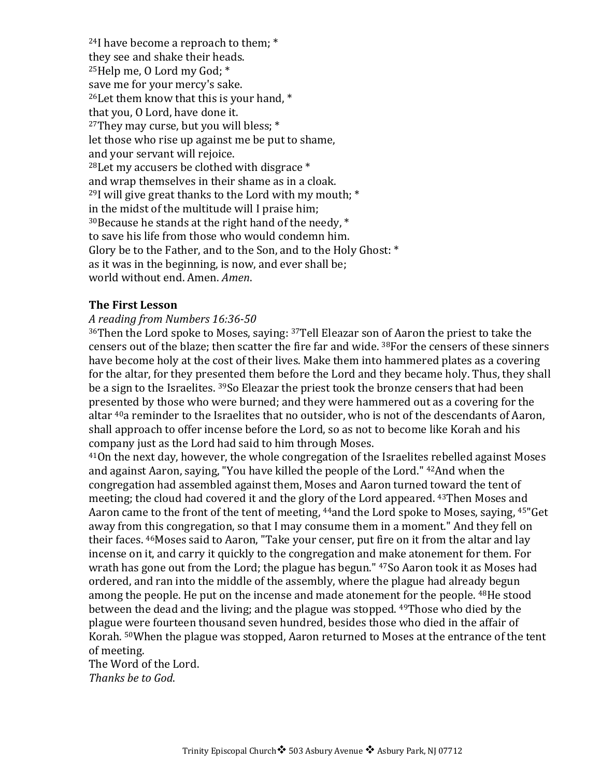$24$ I have become a reproach to them;  $*$ they see and shake their heads.  $25$ Help me, O Lord my God;  $*$ save me for your mercy's sake.  $26$  Let them know that this is your hand,  $*$ that you, O Lord, have done it.  $27$ They may curse, but you will bless;  $*$ let those who rise up against me be put to shame, and your servant will rejoice.  $28$ Let my accusers be clothed with disgrace  $*$ and wrap themselves in their shame as in a cloak.  $29$ I will give great thanks to the Lord with my mouth;  $*$ in the midst of the multitude will I praise him;  $30$ Because he stands at the right hand of the needy,  $*$ to save his life from those who would condemn him. Glory be to the Father, and to the Son, and to the Holy Ghost:  $*$ as it was in the beginning, is now, and ever shall be; world without end. Amen. *Amen.* 

#### **The First Lesson**

#### *A reading from Numbers 16:36-50*

 $36$ Then the Lord spoke to Moses, saying:  $37$ Tell Eleazar son of Aaron the priest to take the censers out of the blaze; then scatter the fire far and wide. <sup>38</sup>For the censers of these sinners have become holy at the cost of their lives. Make them into hammered plates as a covering for the altar, for they presented them before the Lord and they became holy. Thus, they shall be a sign to the Israelites. <sup>39</sup>So Eleazar the priest took the bronze censers that had been presented by those who were burned; and they were hammered out as a covering for the altar <sup>40</sup>a reminder to the Israelites that no outsider, who is not of the descendants of Aaron, shall approach to offer incense before the Lord, so as not to become like Korah and his company just as the Lord had said to him through Moses.

 $41$ On the next day, however, the whole congregation of the Israelites rebelled against Moses and against Aaron, saying, "You have killed the people of the Lord." <sup>42</sup>And when the congregation had assembled against them, Moses and Aaron turned toward the tent of meeting; the cloud had covered it and the glory of the Lord appeared.  $43$ Then Moses and Aaron came to the front of the tent of meeting, <sup>44</sup>and the Lord spoke to Moses, saying, <sup>45"</sup>Get away from this congregation, so that I may consume them in a moment." And they fell on their faces. <sup>46</sup>Moses said to Aaron, "Take your censer, put fire on it from the altar and lay incense on it, and carry it quickly to the congregation and make atonement for them. For wrath has gone out from the Lord; the plague has begun."  $47$ So Aaron took it as Moses had ordered, and ran into the middle of the assembly, where the plague had already begun among the people. He put on the incense and made atonement for the people. <sup>48</sup>He stood between the dead and the living; and the plague was stopped. <sup>49</sup>Those who died by the plague were fourteen thousand seven hundred, besides those who died in the affair of Korah. <sup>50</sup>When the plague was stopped, Aaron returned to Moses at the entrance of the tent of meeting.

The Word of the Lord. *Thanks be to God*.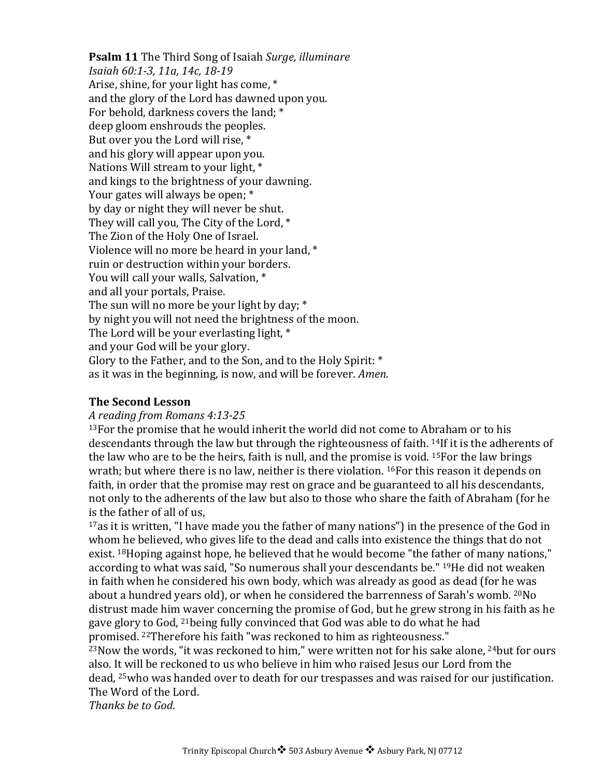**Psalm 11** The Third Song of Isaiah *Surge, illuminare Isaiah 60:1-3, 11a, 14c, 18-19* Arise, shine, for your light has come,  $*$ and the glory of the Lord has dawned upon you. For behold, darkness covers the land; \* deep gloom enshrouds the peoples. But over you the Lord will rise, \* and his glory will appear upon you. Nations Will stream to your light,  $*$ and kings to the brightness of your dawning. Your gates will always be open; \* by day or night they will never be shut. They will call you. The City of the Lord, \* The Zion of the Holy One of Israel. Violence will no more be heard in your land, \* ruin or destruction within your borders. You will call your walls, Salvation, \* and all your portals, Praise. The sun will no more be your light by day;  $*$ by night you will not need the brightness of the moon. The Lord will be your everlasting light,  $*$ and your God will be your glory. Glory to the Father, and to the Son, and to the Holy Spirit: \* as it was in the beginning, is now, and will be forever. *Amen*.

### **The Second Lesson**

### *A reading from Romans 4:13-25*

 $13$  For the promise that he would inherit the world did not come to Abraham or to his descendants through the law but through the righteousness of faith. <sup>14</sup>If it is the adherents of the law who are to be the heirs, faith is null, and the promise is void.  $15$ For the law brings wrath; but where there is no law, neither is there violation.  $^{16}$ For this reason it depends on faith, in order that the promise may rest on grace and be guaranteed to all his descendants, not only to the adherents of the law but also to those who share the faith of Abraham (for he is the father of all of us,

 $17$ as it is written, "I have made you the father of many nations") in the presence of the God in whom he believed, who gives life to the dead and calls into existence the things that do not exist. <sup>18</sup>Hoping against hope, he believed that he would become "the father of many nations," according to what was said, "So numerous shall your descendants be." <sup>19</sup>He did not weaken in faith when he considered his own body, which was already as good as dead (for he was about a hundred years old), or when he considered the barrenness of Sarah's womb. <sup>20</sup>No distrust made him waver concerning the promise of God, but he grew strong in his faith as he gave glory to God, <sup>21</sup>being fully convinced that God was able to do what he had promised. <sup>22</sup>Therefore his faith "was reckoned to him as righteousness."

 $^{23}$ Now the words, "it was reckoned to him," were written not for his sake alone,  $^{24}$ but for ours also. It will be reckoned to us who believe in him who raised Jesus our Lord from the dead, <sup>25</sup>who was handed over to death for our trespasses and was raised for our justification. The Word of the Lord.

*Thanks be to God*.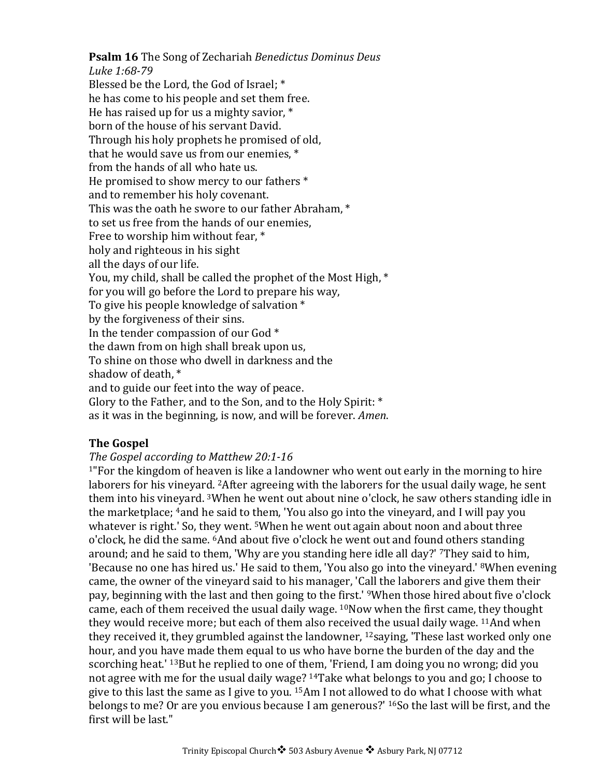**Psalm 16** The Song of Zechariah *Benedictus Dominus Deus* 

*Luke 1:68-79* Blessed be the Lord, the God of Israel; \* he has come to his people and set them free. He has raised up for us a mighty savior,  $*$ born of the house of his servant David. Through his holy prophets he promised of old, that he would save us from our enemies,  $*$ from the hands of all who hate us. He promised to show mercy to our fathers  $*$ and to remember his holy covenant. This was the oath he swore to our father Abraham, \* to set us free from the hands of our enemies. Free to worship him without fear, \* holy and righteous in his sight all the days of our life. You, my child, shall be called the prophet of the Most High,  $*$ for you will go before the Lord to prepare his way, To give his people knowledge of salvation \* by the forgiveness of their sins. In the tender compassion of our God  $*$ the dawn from on high shall break upon us, To shine on those who dwell in darkness and the shadow of death. $*$ and to guide our feet into the way of peace. Glory to the Father, and to the Son, and to the Holy Spirit:  $*$ as it was in the beginning, is now, and will be forever. *Amen*.

## **The Gospel**

### *The Gospel according to Matthew 20:1-16*

 $1$ "For the kingdom of heaven is like a landowner who went out early in the morning to hire laborers for his vineyard. <sup>2</sup>After agreeing with the laborers for the usual daily wage, he sent them into his vineyard. 3When he went out about nine o'clock, he saw others standing idle in the marketplace; <sup>4</sup>and he said to them, 'You also go into the vineyard, and I will pay you whatever is right.' So, they went.  $5$ When he went out again about noon and about three o'clock, he did the same. <sup>6</sup>And about five o'clock he went out and found others standing around; and he said to them, 'Why are you standing here idle all day?' 7They said to him, 'Because no one has hired us.' He said to them, 'You also go into the vineyard.' <sup>8</sup>When evening came, the owner of the vineyard said to his manager, 'Call the laborers and give them their pay, beginning with the last and then going to the first.' <sup>9</sup>When those hired about five o'clock came, each of them received the usual daily wage. <sup>10</sup>Now when the first came, they thought they would receive more; but each of them also received the usual daily wage.  $11$ And when they received it, they grumbled against the landowner,  $12$ saying, 'These last worked only one hour, and you have made them equal to us who have borne the burden of the day and the scorching heat.'  $^{13}$ But he replied to one of them, 'Friend, I am doing you no wrong; did you not agree with me for the usual daily wage? <sup>14</sup>Take what belongs to you and go; I choose to give to this last the same as I give to you.  $15Am$  I not allowed to do what I choose with what belongs to me? Or are you envious because I am generous?' <sup>16</sup>So the last will be first, and the first will be last."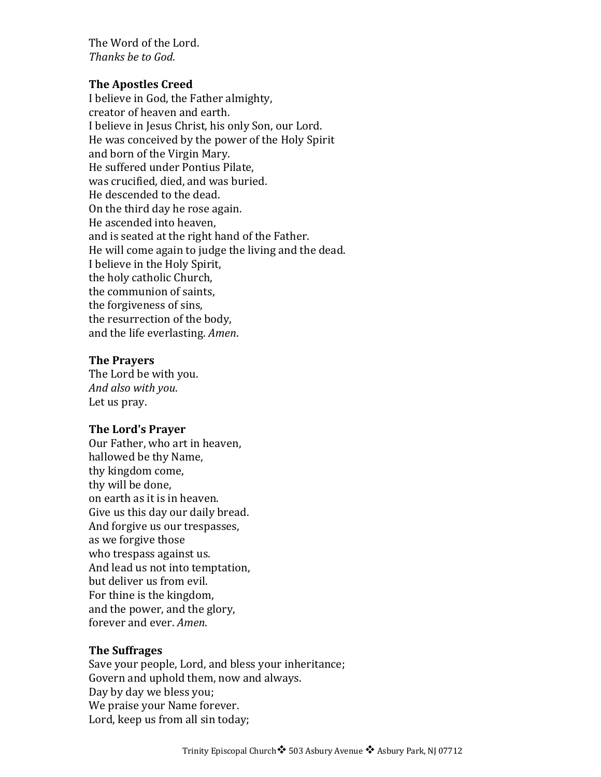The Word of the Lord. *Thanks be to God.* 

#### **The Apostles Creed**

I believe in God, the Father almighty, creator of heaven and earth. I believe in Jesus Christ, his only Son, our Lord. He was conceived by the power of the Holy Spirit and born of the Virgin Mary. He suffered under Pontius Pilate, was crucified, died, and was buried. He descended to the dead. On the third day he rose again. He ascended into heaven. and is seated at the right hand of the Father. He will come again to judge the living and the dead. I believe in the Holy Spirit, the holy catholic Church, the communion of saints, the forgiveness of sins, the resurrection of the body, and the life everlasting. *Amen*.

#### **The Prayers**

The Lord be with you. *And also with you*. Let us pray.

#### **The Lord's Prayer**

Our Father, who art in heaven, hallowed be thy Name, thy kingdom come, thy will be done, on earth as it is in heaven. Give us this day our daily bread. And forgive us our trespasses, as we forgive those who trespass against us. And lead us not into temptation, but deliver us from evil. For thine is the kingdom, and the power, and the glory, forever and ever. *Amen*.

#### **The Suffrages**

Save your people, Lord, and bless your inheritance; Govern and uphold them, now and always. Day by day we bless you; We praise your Name forever. Lord, keep us from all sin today;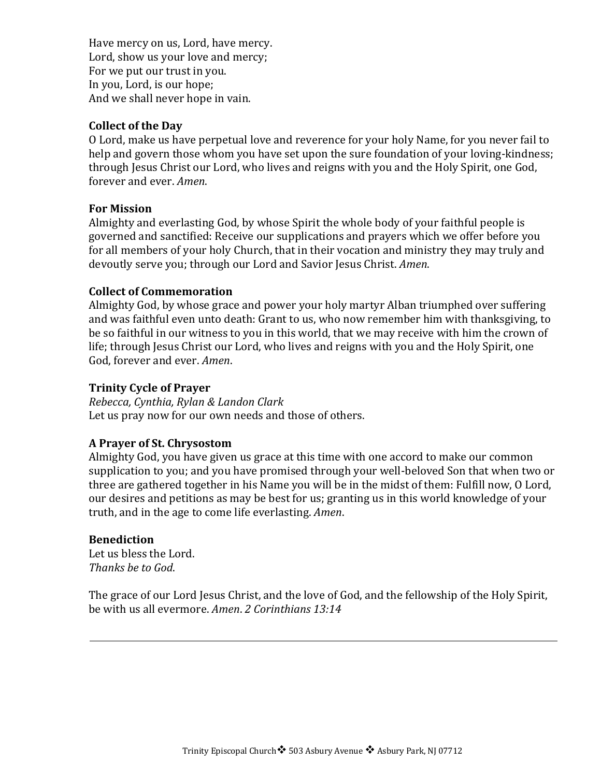Have mercy on us, Lord, have mercy. Lord, show us your love and mercy; For we put our trust in you. In you, Lord, is our hope; And we shall never hope in vain.

## **Collect of the Day**

O Lord, make us have perpetual love and reverence for your holy Name, for you never fail to help and govern those whom you have set upon the sure foundation of your loving-kindness; through Jesus Christ our Lord, who lives and reigns with you and the Holy Spirit, one God, forever and ever. *Amen*.

### **For Mission**

Almighty and everlasting God, by whose Spirit the whole body of your faithful people is governed and sanctified: Receive our supplications and prayers which we offer before you for all members of your holy Church, that in their vocation and ministry they may truly and devoutly serve you; through our Lord and Savior Jesus Christ. *Amen*.

#### **Collect of Commemoration**

Almighty God, by whose grace and power your holy martyr Alban triumphed over suffering and was faithful even unto death: Grant to us, who now remember him with thanksgiving, to be so faithful in our witness to you in this world, that we may receive with him the crown of life; through Jesus Christ our Lord, who lives and reigns with you and the Holy Spirit, one God, forever and ever. Amen.

#### **Trinity Cycle of Prayer**

*Rebecca, Cynthia, Rylan & Landon Clark* Let us pray now for our own needs and those of others.

## **A Prayer of St. Chrysostom**

Almighty God, you have given us grace at this time with one accord to make our common supplication to you; and you have promised through your well-beloved Son that when two or three are gathered together in his Name you will be in the midst of them: Fulfill now, O Lord, our desires and petitions as may be best for us; granting us in this world knowledge of your truth, and in the age to come life everlasting. *Amen*.

#### **Benediction**

Let us bless the Lord. *Thanks be to God*.

The grace of our Lord Jesus Christ, and the love of God, and the fellowship of the Holy Spirit, be with us all evermore. *Amen. 2 Corinthians* 13:14